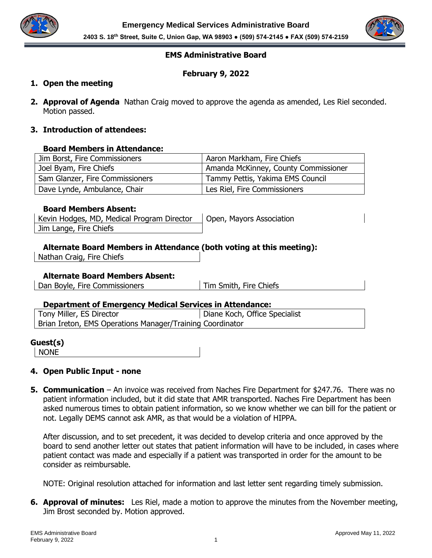



## **EMS Administrative Board**

## **February 9, 2022**

## **1. Open the meeting**

**2. Approval of Agenda** Nathan Craig moved to approve the agenda as amended, Les Riel seconded. Motion passed.

## **3. Introduction of attendees:**

### **Board Members in Attendance:**

| Jim Borst, Fire Commissioners   | Aaron Markham, Fire Chiefs           |
|---------------------------------|--------------------------------------|
| Joel Byam, Fire Chiefs          | Amanda McKinney, County Commissioner |
| Sam Glanzer, Fire Commissioners | Tammy Pettis, Yakima EMS Council     |
| Dave Lynde, Ambulance, Chair    | Les Riel, Fire Commissioners         |

### **Board Members Absent:**

| Kevin Hodges, MD, Medical Program Director | Open, Mayors Association |
|--------------------------------------------|--------------------------|
| Jim Lange, Fire Chiefs                     |                          |

### **Alternate Board Members in Attendance (both voting at this meeting):**

Nathan Craig, Fire Chiefs

### **Alternate Board Members Absent:**

Dan Boyle, Fire Commissioners Tim Smith, Fire Chiefs

### **Department of Emergency Medical Services in Attendance:**

| Tony Miller, ES Director                                  | Diane Koch, Office Specialist |
|-----------------------------------------------------------|-------------------------------|
| Brian Ireton, EMS Operations Manager/Training Coordinator |                               |

#### **Guest(s)**

NONE

### **4. Open Public Input - none**

**5. Communication** – An invoice was received from Naches Fire Department for \$247.76. There was no patient information included, but it did state that AMR transported. Naches Fire Department has been asked numerous times to obtain patient information, so we know whether we can bill for the patient or not. Legally DEMS cannot ask AMR, as that would be a violation of HIPPA.

After discussion, and to set precedent, it was decided to develop criteria and once approved by the board to send another letter out states that patient information will have to be included, in cases where patient contact was made and especially if a patient was transported in order for the amount to be consider as reimbursable.

NOTE: Original resolution attached for information and last letter sent regarding timely submission.

**6. Approval of minutes:** Les Riel, made a motion to approve the minutes from the November meeting, Jim Brost seconded by. Motion approved.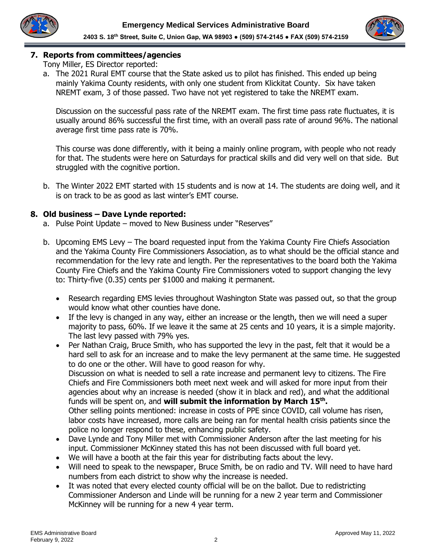



## **7. Reports from committees/agencies**

Tony Miller, ES Director reported:

a. The 2021 Rural EMT course that the State asked us to pilot has finished. This ended up being mainly Yakima County residents, with only one student from Klickitat County. Six have taken NREMT exam, 3 of those passed. Two have not yet registered to take the NREMT exam.

Discussion on the successful pass rate of the NREMT exam. The first time pass rate fluctuates, it is usually around 86% successful the first time, with an overall pass rate of around 96%. The national average first time pass rate is 70%.

This course was done differently, with it being a mainly online program, with people who not ready for that. The students were here on Saturdays for practical skills and did very well on that side. But struggled with the cognitive portion.

b. The Winter 2022 EMT started with 15 students and is now at 14. The students are doing well, and it is on track to be as good as last winter's EMT course.

## **8. Old business – Dave Lynde reported:**

- a. Pulse Point Update moved to New Business under "Reserves"
- b. Upcoming EMS Levy The board requested input from the Yakima County Fire Chiefs Association and the Yakima County Fire Commissioners Association, as to what should be the official stance and recommendation for the levy rate and length. Per the representatives to the board both the Yakima County Fire Chiefs and the Yakima County Fire Commissioners voted to support changing the levy to: Thirty-five (0.35) cents per \$1000 and making it permanent.
	- Research regarding EMS levies throughout Washington State was passed out, so that the group would know what other counties have done.
	- If the levy is changed in any way, either an increase or the length, then we will need a super majority to pass, 60%. If we leave it the same at 25 cents and 10 years, it is a simple majority. The last levy passed with 79% yes.
	- Per Nathan Craig, Bruce Smith, who has supported the levy in the past, felt that it would be a hard sell to ask for an increase and to make the levy permanent at the same time. He suggested to do one or the other. Will have to good reason for why. Discussion on what is needed to sell a rate increase and permanent levy to citizens. The Fire Chiefs and Fire Commissioners both meet next week and will asked for more input from their agencies about why an increase is needed (show it in black and red), and what the additional funds will be spent on, and **will submit the information by March 15th .**  Other selling points mentioned: increase in costs of PPE since COVID, call volume has risen, labor costs have increased, more calls are being ran for mental health crisis patients since the police no longer respond to these, enhancing public safety.
	- Dave Lynde and Tony Miller met with Commissioner Anderson after the last meeting for his input. Commissioner McKinney stated this has not been discussed with full board yet.
	- We will have a booth at the fair this year for distributing facts about the levy.
	- Will need to speak to the newspaper, Bruce Smith, be on radio and TV. Will need to have hard numbers from each district to show why the increase is needed.
	- It was noted that every elected county official will be on the ballot. Due to redistricting Commissioner Anderson and Linde will be running for a new 2 year term and Commissioner McKinney will be running for a new 4 year term.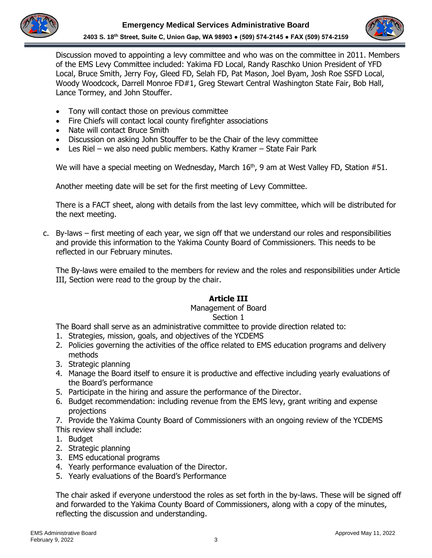



Discussion moved to appointing a levy committee and who was on the committee in 2011. Members of the EMS Levy Committee included: Yakima FD Local, Randy Raschko Union President of YFD Local, Bruce Smith, Jerry Foy, Gleed FD, Selah FD, Pat Mason, Joel Byam, Josh Roe SSFD Local, Woody Woodcock, Darrell Monroe FD#1, Greg Stewart Central Washington State Fair, Bob Hall, Lance Tormey, and John Stouffer.

- Tony will contact those on previous committee
- Fire Chiefs will contact local county firefighter associations
- Nate will contact Bruce Smith
- Discussion on asking John Stouffer to be the Chair of the levy committee
- Les Riel we also need public members. Kathy Kramer State Fair Park

We will have a special meeting on Wednesday, March  $16<sup>th</sup>$ , 9 am at West Valley FD, Station #51.

Another meeting date will be set for the first meeting of Levy Committee.

There is a FACT sheet, along with details from the last levy committee, which will be distributed for the next meeting.

c. By-laws – first meeting of each year, we sign off that we understand our roles and responsibilities and provide this information to the Yakima County Board of Commissioners. This needs to be reflected in our February minutes.

The By-laws were emailed to the members for review and the roles and responsibilities under Article III, Section were read to the group by the chair.

# **Article III**

## Management of Board

## Section 1

The Board shall serve as an administrative committee to provide direction related to:

- 1. Strategies, mission, goals, and objectives of the YCDEMS
- 2. Policies governing the activities of the office related to EMS education programs and delivery methods
- 3. Strategic planning
- 4. Manage the Board itself to ensure it is productive and effective including yearly evaluations of the Board's performance
- 5. Participate in the hiring and assure the performance of the Director.
- 6. Budget recommendation: including revenue from the EMS levy, grant writing and expense projections
- 7. Provide the Yakima County Board of Commissioners with an ongoing review of the YCDEMS This review shall include:
- 1. Budget
- 2. Strategic planning
- 3. EMS educational programs
- 4. Yearly performance evaluation of the Director.
- 5. Yearly evaluations of the Board's Performance

The chair asked if everyone understood the roles as set forth in the by-laws. These will be signed off and forwarded to the Yakima County Board of Commissioners, along with a copy of the minutes, reflecting the discussion and understanding.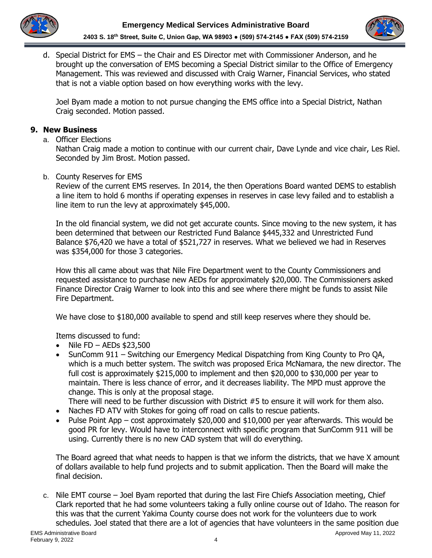



d. Special District for EMS – the Chair and ES Director met with Commissioner Anderson, and he brought up the conversation of EMS becoming a Special District similar to the Office of Emergency Management. This was reviewed and discussed with Craig Warner, Financial Services, who stated that is not a viable option based on how everything works with the levy.

Joel Byam made a motion to not pursue changing the EMS office into a Special District, Nathan Craig seconded. Motion passed.

## **9. New Business**

a. Officer Elections

Nathan Craig made a motion to continue with our current chair, Dave Lynde and vice chair, Les Riel. Seconded by Jim Brost. Motion passed.

b. County Reserves for EMS

Review of the current EMS reserves. In 2014, the then Operations Board wanted DEMS to establish a line item to hold 6 months if operating expenses in reserves in case levy failed and to establish a line item to run the levy at approximately \$45,000.

In the old financial system, we did not get accurate counts. Since moving to the new system, it has been determined that between our Restricted Fund Balance \$445,332 and Unrestricted Fund Balance \$76,420 we have a total of \$521,727 in reserves. What we believed we had in Reserves was \$354,000 for those 3 categories.

How this all came about was that Nile Fire Department went to the County Commissioners and requested assistance to purchase new AEDs for approximately \$20,000. The Commissioners asked Finance Director Craig Warner to look into this and see where there might be funds to assist Nile Fire Department.

We have close to \$180,000 available to spend and still keep reserves where they should be.

Items discussed to fund:

- Nile FD AEDs \$23,500
- SunComm 911 Switching our Emergency Medical Dispatching from King County to Pro QA, which is a much better system. The switch was proposed Erica McNamara, the new director. The full cost is approximately \$215,000 to implement and then \$20,000 to \$30,000 per year to maintain. There is less chance of error, and it decreases liability. The MPD must approve the change. This is only at the proposal stage.

There will need to be further discussion with District #5 to ensure it will work for them also.

- Naches FD ATV with Stokes for going off road on calls to rescue patients.
- Pulse Point App cost approximately \$20,000 and \$10,000 per year afterwards. This would be good PR for levy. Would have to interconnect with specific program that SunComm 911 will be using. Currently there is no new CAD system that will do everything.

The Board agreed that what needs to happen is that we inform the districts, that we have X amount of dollars available to help fund projects and to submit application. Then the Board will make the final decision.

c. Nile EMT course – Joel Byam reported that during the last Fire Chiefs Association meeting, Chief Clark reported that he had some volunteers taking a fully online course out of Idaho. The reason for this was that the current Yakima County course does not work for the volunteers due to work schedules. Joel stated that there are a lot of agencies that have volunteers in the same position due